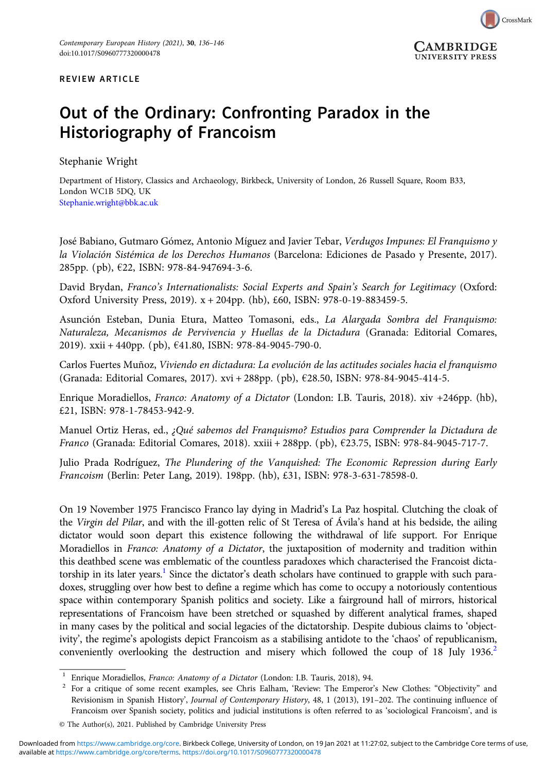



## Out of the Ordinary: Confronting Paradox in the Historiography of Francoism

Stephanie Wright

Department of History, Classics and Archaeology, Birkbeck, University of London, 26 Russell Square, Room B33, London WC1B 5DQ, UK [Stephanie.wright@bbk.ac.uk](mailto:Stephanie.wright@bbk.ac.uk)

José Babiano, Gutmaro Gómez, Antonio Míguez and Javier Tebar, Verdugos Impunes: El Franquismo y la Violación Sistémica de los Derechos Humanos (Barcelona: Ediciones de Pasado y Presente, 2017). 285pp. (pb), €22, ISBN: 978-84-947694-3-6.

David Brydan, Franco's Internationalists: Social Experts and Spain's Search for Legitimacy (Oxford: Oxford University Press, 2019). x + 204pp. (hb), £60, ISBN: 978-0-19-883459-5.

Asunción Esteban, Dunia Etura, Matteo Tomasoni, eds., La Alargada Sombra del Franquismo: Naturaleza, Mecanismos de Pervivencia y Huellas de la Dictadura (Granada: Editorial Comares, 2019). xxii + 440pp. (pb), €41.80, ISBN: 978-84-9045-790-0.

Carlos Fuertes Muñoz, Viviendo en dictadura: La evolución de las actitudes sociales hacia el franquismo (Granada: Editorial Comares, 2017). xvi + 288pp. (pb), €28.50, ISBN: 978-84-9045-414-5.

Enrique Moradiellos, Franco: Anatomy of a Dictator (London: I.B. Tauris, 2018). xiv +246pp. (hb), £21, ISBN: 978-1-78453-942-9.

Manuel Ortiz Heras, ed., ¿Qué sabemos del Franquismo? Estudios para Comprender la Dictadura de Franco (Granada: Editorial Comares, 2018). xxiii + 288pp. (pb), €23.75, ISBN: 978-84-9045-717-7.

Julio Prada Rodríguez, The Plundering of the Vanquished: The Economic Repression during Early Francoism (Berlin: Peter Lang, 2019). 198pp. (hb), £31, ISBN: 978-3-631-78598-0.

On 19 November 1975 Francisco Franco lay dying in Madrid's La Paz hospital. Clutching the cloak of the Virgin del Pilar, and with the ill-gotten relic of St Teresa of Ávila's hand at his bedside, the ailing dictator would soon depart this existence following the withdrawal of life support. For Enrique Moradiellos in Franco: Anatomy of a Dictator, the juxtaposition of modernity and tradition within this deathbed scene was emblematic of the countless paradoxes which characterised the Francoist dictatorship in its later years.<sup>1</sup> Since the dictator's death scholars have continued to grapple with such paradoxes, struggling over how best to define a regime which has come to occupy a notoriously contentious space within contemporary Spanish politics and society. Like a fairground hall of mirrors, historical representations of Francoism have been stretched or squashed by different analytical frames, shaped in many cases by the political and social legacies of the dictatorship. Despite dubious claims to 'objectivity', the regime's apologists depict Francoism as a stabilising antidote to the 'chaos' of republicanism, conveniently overlooking the destruction and misery which followed the coup of 18 July 1936.<sup>2</sup>

<sup>&</sup>lt;sup>1</sup> Enrique Moradiellos, Franco: Anatomy of a Dictator (London: I.B. Tauris, 2018), 94.<br><sup>2</sup> For a critique of some recent examples, see Chris Ealham, 'Review: The Emperor's New Clothes: "Objectivity" and Revisionism in Spanish History', Journal of Contemporary History, 48, 1 (2013), 191–202. The continuing influence of Francoism over Spanish society, politics and judicial institutions is often referred to as 'sociological Francoism', and is

<sup>©</sup> The Author(s), 2021. Published by Cambridge University Press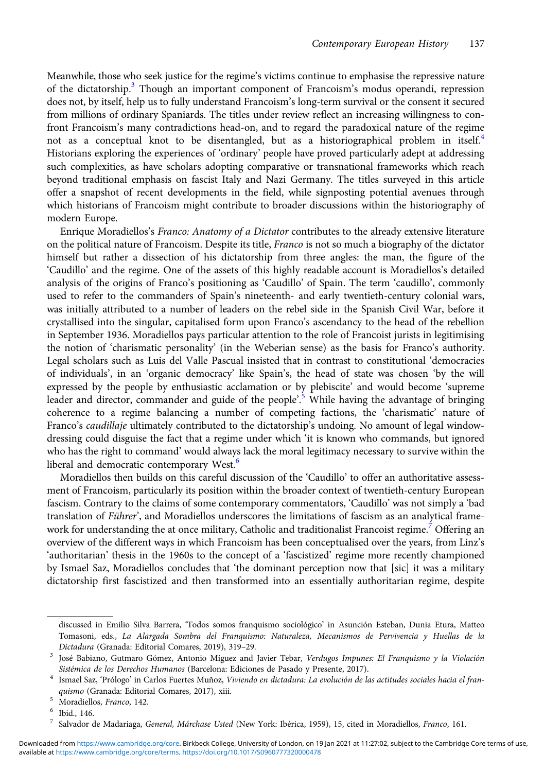Meanwhile, those who seek justice for the regime's victims continue to emphasise the repressive nature of the dictatorship.<sup>3</sup> Though an important component of Francoism's modus operandi, repression does not, by itself, help us to fully understand Francoism's long-term survival or the consent it secured from millions of ordinary Spaniards. The titles under review reflect an increasing willingness to confront Francoism's many contradictions head-on, and to regard the paradoxical nature of the regime not as a conceptual knot to be disentangled, but as a historiographical problem in itself.<sup>4</sup> Historians exploring the experiences of 'ordinary' people have proved particularly adept at addressing such complexities, as have scholars adopting comparative or transnational frameworks which reach beyond traditional emphasis on fascist Italy and Nazi Germany. The titles surveyed in this article offer a snapshot of recent developments in the field, while signposting potential avenues through which historians of Francoism might contribute to broader discussions within the historiography of modern Europe.

Enrique Moradiellos's Franco: Anatomy of a Dictator contributes to the already extensive literature on the political nature of Francoism. Despite its title, Franco is not so much a biography of the dictator himself but rather a dissection of his dictatorship from three angles: the man, the figure of the 'Caudillo' and the regime. One of the assets of this highly readable account is Moradiellos's detailed analysis of the origins of Franco's positioning as 'Caudillo' of Spain. The term 'caudillo', commonly used to refer to the commanders of Spain's nineteenth- and early twentieth-century colonial wars, was initially attributed to a number of leaders on the rebel side in the Spanish Civil War, before it crystallised into the singular, capitalised form upon Franco's ascendancy to the head of the rebellion in September 1936. Moradiellos pays particular attention to the role of Francoist jurists in legitimising the notion of 'charismatic personality' (in the Weberian sense) as the basis for Franco's authority. Legal scholars such as Luis del Valle Pascual insisted that in contrast to constitutional 'democracies of individuals', in an 'organic democracy' like Spain's, the head of state was chosen 'by the will expressed by the people by enthusiastic acclamation or by plebiscite' and would become 'supreme leader and director, commander and guide of the people'.<sup>5</sup> While having the advantage of bringing coherence to a regime balancing a number of competing factions, the 'charismatic' nature of Franco's caudillaje ultimately contributed to the dictatorship's undoing. No amount of legal windowdressing could disguise the fact that a regime under which 'it is known who commands, but ignored who has the right to command' would always lack the moral legitimacy necessary to survive within the liberal and democratic contemporary West.<sup>6</sup>

Moradiellos then builds on this careful discussion of the 'Caudillo' to offer an authoritative assessment of Francoism, particularly its position within the broader context of twentieth-century European fascism. Contrary to the claims of some contemporary commentators, 'Caudillo' was not simply a 'bad translation of Führer', and Moradiellos underscores the limitations of fascism as an analytical framework for understanding the at once military, Catholic and traditionalist Francoist regime.<sup>7</sup> Offering an overview of the different ways in which Francoism has been conceptualised over the years, from Linz's 'authoritarian' thesis in the 1960s to the concept of a 'fascistized' regime more recently championed by Ismael Saz, Moradiellos concludes that 'the dominant perception now that [sic] it was a military dictatorship first fascistized and then transformed into an essentially authoritarian regime, despite

discussed in Emilio Silva Barrera, 'Todos somos franquismo sociológico' in Asunción Esteban, Dunia Etura, Matteo Tomasoni, eds., La Alargada Sombra del Franquismo: Naturaleza, Mecanismos de Pervivencia y Huellas de la Dictadura (Granada: Editorial Comares, 2019), 319–29. <sup>3</sup> José Babiano, Gutmaro Gómez, Antonio Míguez and Javier Tebar, Verdugos Impunes: El Franquismo y la Violación

Sistémica de los Derechos Humanos (Barcelona: Ediciones de Pasado y Presente, 2017).<br>1 Ismael Saz, 'Prólogo' in Carlos Fuertes Muñoz, Viviendo en dictadura: La evolución de las actitudes sociales hacia el fran-

quismo (Granada: Editorial Comares, 2017), xiii.<br>5 Moradiellos, Franco, 142.<br>6 Ibid., 146.<br>7 Salvador de Madariaga, *General, Márchase Usted* (New York: Ibérica, 1959), 15, cited in Moradiellos, Franco, 161.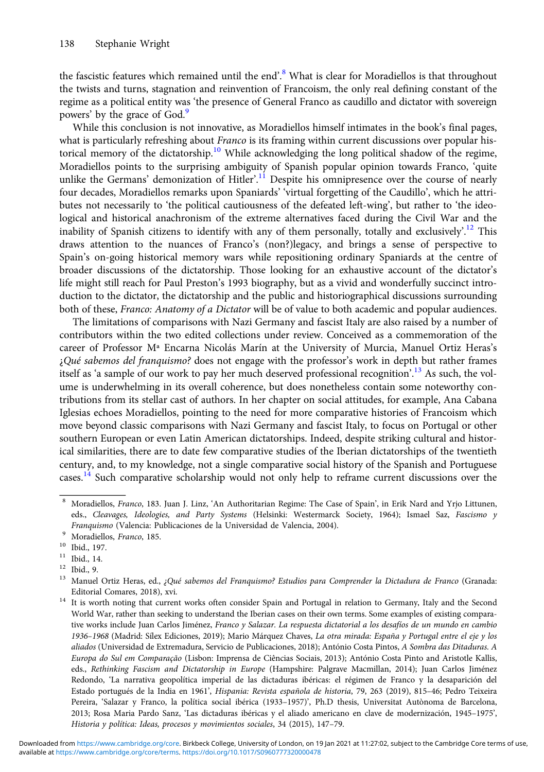the fascistic features which remained until the end'.<sup>8</sup> What is clear for Moradiellos is that throughout the twists and turns, stagnation and reinvention of Francoism, the only real defining constant of the regime as a political entity was 'the presence of General Franco as caudillo and dictator with sovereign powers' by the grace of God.<sup>9</sup>

While this conclusion is not innovative, as Moradiellos himself intimates in the book's final pages, what is particularly refreshing about *Franco* is its framing within current discussions over popular historical memory of the dictatorship.<sup>10</sup> While acknowledging the long political shadow of the regime, Moradiellos points to the surprising ambiguity of Spanish popular opinion towards Franco, 'quite unlike the Germans' demonization of Hitler'.<sup>11</sup> Despite his omnipresence over the course of nearly four decades, Moradiellos remarks upon Spaniards' 'virtual forgetting of the Caudillo', which he attributes not necessarily to 'the political cautiousness of the defeated left-wing', but rather to 'the ideological and historical anachronism of the extreme alternatives faced during the Civil War and the inability of Spanish citizens to identify with any of them personally, totally and exclusively'.<sup>12</sup> This draws attention to the nuances of Franco's (non?)legacy, and brings a sense of perspective to Spain's on-going historical memory wars while repositioning ordinary Spaniards at the centre of broader discussions of the dictatorship. Those looking for an exhaustive account of the dictator's life might still reach for Paul Preston's 1993 biography, but as a vivid and wonderfully succinct introduction to the dictator, the dictatorship and the public and historiographical discussions surrounding both of these, Franco: Anatomy of a Dictator will be of value to both academic and popular audiences.

The limitations of comparisons with Nazi Germany and fascist Italy are also raised by a number of contributors within the two edited collections under review. Conceived as a commemoration of the career of Professor Mª Encarna Nicolás Marín at the University of Murcia, Manuel Ortiz Heras's  $\mathcal{E}Qu\acute{e}$  sabemos del franquismo? does not engage with the professor's work in depth but rather frames itself as 'a sample of our work to pay her much deserved professional recognition'.<sup>13</sup> As such, the volume is underwhelming in its overall coherence, but does nonetheless contain some noteworthy contributions from its stellar cast of authors. In her chapter on social attitudes, for example, Ana Cabana Iglesias echoes Moradiellos, pointing to the need for more comparative histories of Francoism which move beyond classic comparisons with Nazi Germany and fascist Italy, to focus on Portugal or other southern European or even Latin American dictatorships. Indeed, despite striking cultural and historical similarities, there are to date few comparative studies of the Iberian dictatorships of the twentieth century, and, to my knowledge, not a single comparative social history of the Spanish and Portuguese cases.<sup>14</sup> Such comparative scholarship would not only help to reframe current discussions over the

<sup>8</sup> Moradiellos, Franco, 183. Juan J. Linz, 'An Authoritarian Regime: The Case of Spain', in Erik Nard and Yrjo Littunen, eds., Cleavages, Ideologies, and Party Systems (Helsinki: Westermarck Society, 1964); Ismael Saz, Fascismo y Franquismo (Valencia: Publicaciones de la Universidad de Valencia, 2004).

<sup>&</sup>lt;sup>9</sup> Moradiellos, *Franco*, 185.<br><sup>10</sup> Ibid., 197.<br><sup>11</sup> Ibid., 14.<br><sup>12</sup> Ibid., 9.<br><sup>13</sup> Manuel Ortiz Heras, ed., ¿Qué sabemos del Franquismo? Estudios para Comprender la Dictadura de Franco (Granada:

Editorial Comares, 2018), xvi.<br><sup>14</sup> It is worth noting that current works often consider Spain and Portugal in relation to Germany, Italy and the Second World War, rather than seeking to understand the Iberian cases on their own terms. Some examples of existing comparative works include Juan Carlos Jiménez, Franco y Salazar. La respuesta dictatorial a los desafíos de un mundo en cambio 1936–1968 (Madrid: Sílex Ediciones, 2019); Mario Márquez Chaves, La otra mirada: España y Portugal entre el eje y los aliados (Universidad de Extremadura, Servicio de Publicaciones, 2018); António Costa Pintos, A Sombra das Ditaduras. A Europa do Sul em Comparação (Lisbon: Imprensa de Ciências Sociais, 2013); António Costa Pinto and Aristotle Kallis, eds., Rethinking Fascism and Dictatorship in Europe (Hampshire: Palgrave Macmillan, 2014); Juan Carlos Jiménez Redondo, 'La narrativa geopolítica imperial de las dictaduras ibéricas: el régimen de Franco y la desaparición del Estado portugués de la India en 1961', Hispania: Revista española de historia, 79, 263 (2019), 815–46; Pedro Teixeira Pereira, 'Salazar y Franco, la política social ibérica (1933–1957)', Ph.D thesis, Universitat Autònoma de Barcelona, 2013; Rosa Maria Pardo Sanz, 'Las dictaduras ibéricas y el aliado americano en clave de modernización, 1945–1975', Historia y política: Ideas, procesos y movimientos sociales, 34 (2015), 147–79.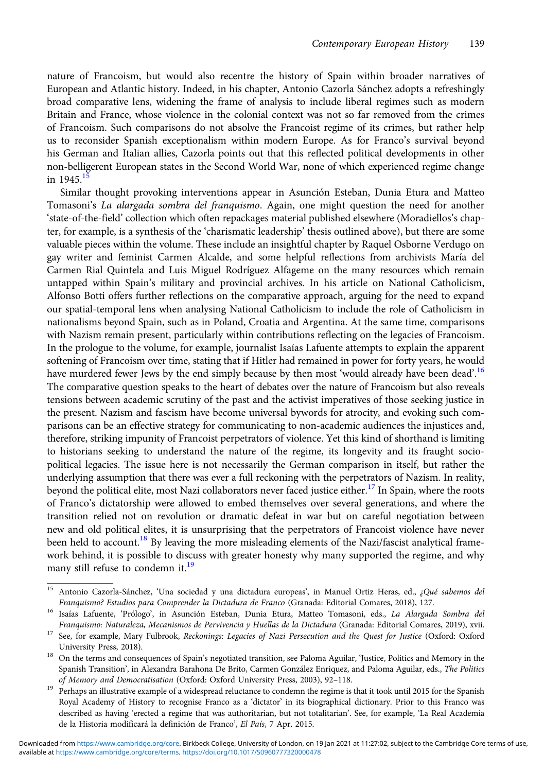nature of Francoism, but would also recentre the history of Spain within broader narratives of European and Atlantic history. Indeed, in his chapter, Antonio Cazorla Sánchez adopts a refreshingly broad comparative lens, widening the frame of analysis to include liberal regimes such as modern Britain and France, whose violence in the colonial context was not so far removed from the crimes of Francoism. Such comparisons do not absolve the Francoist regime of its crimes, but rather help us to reconsider Spanish exceptionalism within modern Europe. As for Franco's survival beyond his German and Italian allies, Cazorla points out that this reflected political developments in other non-belligerent European states in the Second World War, none of which experienced regime change in  $1945$ <sup>15</sup>

Similar thought provoking interventions appear in Asunción Esteban, Dunia Etura and Matteo Tomasoni's La alargada sombra del franquismo. Again, one might question the need for another 'state-of-the-field' collection which often repackages material published elsewhere (Moradiellos's chapter, for example, is a synthesis of the 'charismatic leadership' thesis outlined above), but there are some valuable pieces within the volume. These include an insightful chapter by Raquel Osborne Verdugo on gay writer and feminist Carmen Alcalde, and some helpful reflections from archivists María del Carmen Rial Quintela and Luis Miguel Rodríguez Alfageme on the many resources which remain untapped within Spain's military and provincial archives. In his article on National Catholicism, Alfonso Botti offers further reflections on the comparative approach, arguing for the need to expand our spatial-temporal lens when analysing National Catholicism to include the role of Catholicism in nationalisms beyond Spain, such as in Poland, Croatia and Argentina. At the same time, comparisons with Nazism remain present, particularly within contributions reflecting on the legacies of Francoism. In the prologue to the volume, for example, journalist Isaías Lafuente attempts to explain the apparent softening of Francoism over time, stating that if Hitler had remained in power for forty years, he would have murdered fewer Jews by the end simply because by then most 'would already have been dead'.<sup>16</sup> The comparative question speaks to the heart of debates over the nature of Francoism but also reveals tensions between academic scrutiny of the past and the activist imperatives of those seeking justice in the present. Nazism and fascism have become universal bywords for atrocity, and evoking such comparisons can be an effective strategy for communicating to non-academic audiences the injustices and, therefore, striking impunity of Francoist perpetrators of violence. Yet this kind of shorthand is limiting to historians seeking to understand the nature of the regime, its longevity and its fraught sociopolitical legacies. The issue here is not necessarily the German comparison in itself, but rather the underlying assumption that there was ever a full reckoning with the perpetrators of Nazism. In reality, beyond the political elite, most Nazi collaborators never faced justice either.<sup>17</sup> In Spain, where the roots of Franco's dictatorship were allowed to embed themselves over several generations, and where the transition relied not on revolution or dramatic defeat in war but on careful negotiation between new and old political elites, it is unsurprising that the perpetrators of Francoist violence have never been held to account.<sup>18</sup> By leaving the more misleading elements of the Nazi/fascist analytical framework behind, it is possible to discuss with greater honesty why many supported the regime, and why many still refuse to condemn it.<sup>19</sup>

<sup>&</sup>lt;sup>15</sup> Antonio Cazorla-Sánchez, 'Una sociedad y una dictadura europeas', in Manuel Ortiz Heras, ed., ¿Qué sabemos del Franquismo? Estudios para Comprender la Dictadura de Franco (Granada: Editorial Comares, 2018), 127. <sup>16</sup> Isaías Lafuente, 'Prólogo', in Asunción Esteban, Dunia Etura, Matteo Tomasoni, eds., La Alargada Sombra del

Franquismo: Naturaleza, Mecanismos de Pervivencia y Huellas de la Dictadura (Granada: Editorial Comares, 2019), xvii.<br><sup>17</sup> See, for example, Mary Fulbrook, Reckonings: Legacies of Nazi Persecution and the Quest for Justice

University Press, 2018). 18 On the terms and consequences of Spain's negotiated transition, see Paloma Aguilar, 'Justice, Politics and Memory in the Spanish Transition', in Alexandra Barahona De Brito, Carmen González Enriquez, and Paloma Aguilar, eds., The Politics of Memory and Democratisation (Oxford: Oxford University Press, 2003), 92-118.<br>Perhaps an illustrative example of a widespread reluctance to condemn the regime is that it took until 2015 for the Spanish

Royal Academy of History to recognise Franco as a 'dictator' in its biographical dictionary. Prior to this Franco was described as having 'erected a regime that was authoritarian, but not totalitarian'. See, for example, 'La Real Academia de la Historia modificará la definición de Franco', El País, 7 Apr. 2015.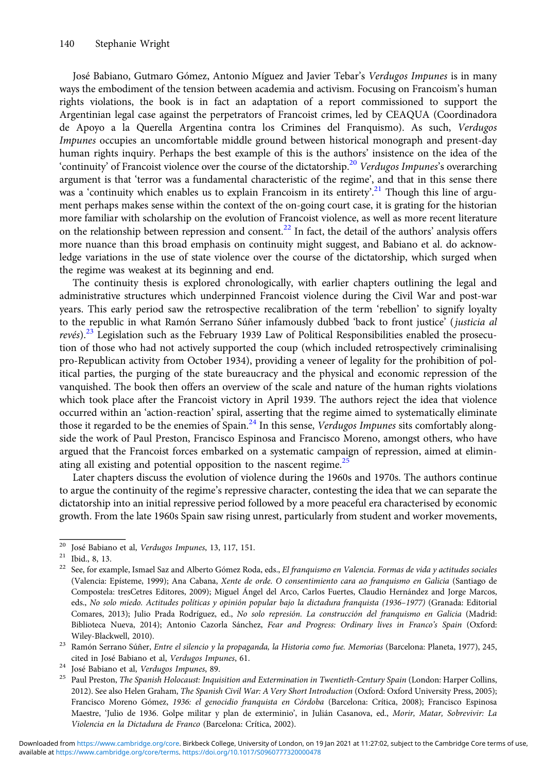José Babiano, Gutmaro Gómez, Antonio Míguez and Javier Tebar's Verdugos Impunes is in many ways the embodiment of the tension between academia and activism. Focusing on Francoism's human rights violations, the book is in fact an adaptation of a report commissioned to support the Argentinian legal case against the perpetrators of Francoist crimes, led by CEAQUA (Coordinadora de Apoyo a la Querella Argentina contra los Crimines del Franquismo). As such, Verdugos Impunes occupies an uncomfortable middle ground between historical monograph and present-day human rights inquiry. Perhaps the best example of this is the authors' insistence on the idea of the 'continuity' of Francoist violence over the course of the dictatorship.<sup>20</sup> Verdugos Impunes's overarching argument is that 'terror was a fundamental characteristic of the regime', and that in this sense there was a 'continuity which enables us to explain Francoism in its entirety'.<sup>21</sup> Though this line of argument perhaps makes sense within the context of the on-going court case, it is grating for the historian more familiar with scholarship on the evolution of Francoist violence, as well as more recent literature on the relationship between repression and consent.<sup>22</sup> In fact, the detail of the authors' analysis offers more nuance than this broad emphasis on continuity might suggest, and Babiano et al. do acknowledge variations in the use of state violence over the course of the dictatorship, which surged when the regime was weakest at its beginning and end.

The continuity thesis is explored chronologically, with earlier chapters outlining the legal and administrative structures which underpinned Francoist violence during the Civil War and post-war years. This early period saw the retrospective recalibration of the term 'rebellion' to signify loyalty to the republic in what Ramón Serrano Súñer infamously dubbed 'back to front justice' (justicia al revés).<sup>23</sup> Legislation such as the February 1939 Law of Political Responsibilities enabled the prosecution of those who had not actively supported the coup (which included retrospectively criminalising pro-Republican activity from October 1934), providing a veneer of legality for the prohibition of political parties, the purging of the state bureaucracy and the physical and economic repression of the vanquished. The book then offers an overview of the scale and nature of the human rights violations which took place after the Francoist victory in April 1939. The authors reject the idea that violence occurred within an 'action-reaction' spiral, asserting that the regime aimed to systematically eliminate those it regarded to be the enemies of Spain.<sup>24</sup> In this sense, Verdugos Impunes sits comfortably alongside the work of Paul Preston, Francisco Espinosa and Francisco Moreno, amongst others, who have argued that the Francoist forces embarked on a systematic campaign of repression, aimed at eliminating all existing and potential opposition to the nascent regime. $^{25}$ 

Later chapters discuss the evolution of violence during the 1960s and 1970s. The authors continue to argue the continuity of the regime's repressive character, contesting the idea that we can separate the dictatorship into an initial repressive period followed by a more peaceful era characterised by economic growth. From the late 1960s Spain saw rising unrest, particularly from student and worker movements,

<sup>&</sup>lt;sup>20</sup> José Babiano et al, *Verdugos Impunes*, 13, 117, 151.<br><sup>21</sup> Ibid., 8, 13. <br><sup>22</sup> See, for example, Ismael Saz and Alberto Gómez Roda, eds., *El franquismo en Valencia. Formas de vida y actitudes sociales* (Valencia: Epísteme, 1999); Ana Cabana, Xente de orde. O consentimiento cara ao franquismo en Galicia (Santiago de Compostela: tresCetres Editores, 2009); Miguel Ángel del Arco, Carlos Fuertes, Claudio Hernández and Jorge Marcos, eds., No solo miedo. Actitudes políticas y opinión popular bajo la dictadura franquista (1936–1977) (Granada: Editorial Comares, 2013); Julio Prada Rodríguez, ed., No solo represión. La construcción del franquismo en Galicia (Madrid: Biblioteca Nueva, 2014); Antonio Cazorla Sánchez, Fear and Progress: Ordinary lives in Franco's Spain (Oxford:

Wiley-Blackwell, 2010). <sup>23</sup> Ramón Serrano Súñer, Entre el silencio y la propaganda, la Historia como fue. Memorias (Barcelona: Planeta, 1977), 245,

cited in José Babiano et al, *Verdugos Impunes*, 61. <sup>24</sup> José Babiano et al, *Verdugos Impunes*, 89. <br><sup>25</sup> Paul Preston, *The Spanish Holocaust: Inquisition and Extermination in Twentieth-Century Spain* (London: Harper C 2012). See also Helen Graham, The Spanish Civil War: A Very Short Introduction (Oxford: Oxford University Press, 2005); Francisco Moreno Gómez, 1936: el genocidio franquista en Córdoba (Barcelona: Crítica, 2008); Francisco Espinosa Maestre, 'Julio de 1936. Golpe militar y plan de exterminio', in Julián Casanova, ed., Morir, Matar, Sobrevivir: La Violencia en la Dictadura de Franco (Barcelona: Crítica, 2002).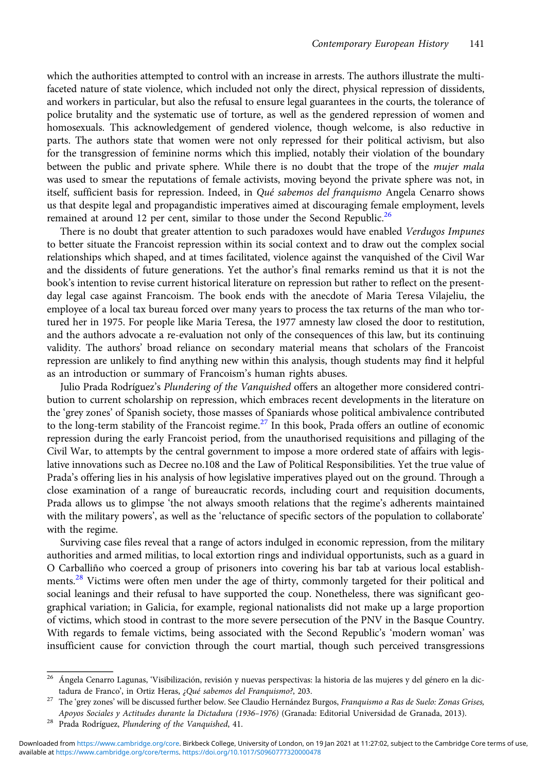which the authorities attempted to control with an increase in arrests. The authors illustrate the multifaceted nature of state violence, which included not only the direct, physical repression of dissidents, and workers in particular, but also the refusal to ensure legal guarantees in the courts, the tolerance of police brutality and the systematic use of torture, as well as the gendered repression of women and homosexuals. This acknowledgement of gendered violence, though welcome, is also reductive in parts. The authors state that women were not only repressed for their political activism, but also for the transgression of feminine norms which this implied, notably their violation of the boundary between the public and private sphere. While there is no doubt that the trope of the *mujer mala* was used to smear the reputations of female activists, moving beyond the private sphere was not, in itself, sufficient basis for repression. Indeed, in Qué sabemos del franquismo Angela Cenarro shows us that despite legal and propagandistic imperatives aimed at discouraging female employment, levels remained at around 12 per cent, similar to those under the Second Republic.<sup>26</sup>

There is no doubt that greater attention to such paradoxes would have enabled Verdugos Impunes to better situate the Francoist repression within its social context and to draw out the complex social relationships which shaped, and at times facilitated, violence against the vanquished of the Civil War and the dissidents of future generations. Yet the author's final remarks remind us that it is not the book's intention to revise current historical literature on repression but rather to reflect on the presentday legal case against Francoism. The book ends with the anecdote of Maria Teresa Vilajeliu, the employee of a local tax bureau forced over many years to process the tax returns of the man who tortured her in 1975. For people like Maria Teresa, the 1977 amnesty law closed the door to restitution, and the authors advocate a re-evaluation not only of the consequences of this law, but its continuing validity. The authors' broad reliance on secondary material means that scholars of the Francoist repression are unlikely to find anything new within this analysis, though students may find it helpful as an introduction or summary of Francoism's human rights abuses.

Julio Prada Rodríguez's Plundering of the Vanquished offers an altogether more considered contribution to current scholarship on repression, which embraces recent developments in the literature on the 'grey zones' of Spanish society, those masses of Spaniards whose political ambivalence contributed to the long-term stability of the Francoist regime.<sup>27</sup> In this book, Prada offers an outline of economic repression during the early Francoist period, from the unauthorised requisitions and pillaging of the Civil War, to attempts by the central government to impose a more ordered state of affairs with legislative innovations such as Decree no.108 and the Law of Political Responsibilities. Yet the true value of Prada's offering lies in his analysis of how legislative imperatives played out on the ground. Through a close examination of a range of bureaucratic records, including court and requisition documents, Prada allows us to glimpse 'the not always smooth relations that the regime's adherents maintained with the military powers', as well as the 'reluctance of specific sectors of the population to collaborate' with the regime.

Surviving case files reveal that a range of actors indulged in economic repression, from the military authorities and armed militias, to local extortion rings and individual opportunists, such as a guard in O Carballiño who coerced a group of prisoners into covering his bar tab at various local establishments.<sup>28</sup> Victims were often men under the age of thirty, commonly targeted for their political and social leanings and their refusal to have supported the coup. Nonetheless, there was significant geographical variation; in Galicia, for example, regional nationalists did not make up a large proportion of victims, which stood in contrast to the more severe persecution of the PNV in the Basque Country. With regards to female victims, being associated with the Second Republic's 'modern woman' was insufficient cause for conviction through the court martial, though such perceived transgressions

<sup>&</sup>lt;sup>26</sup> Ángela Cenarro Lagunas, 'Visibilización, revisión y nuevas perspectivas: la historia de las mujeres y del género en la dictadura de Franco', in Ortiz Heras, ¿Qué sabemos del Franquismo?, 203.<br><sup>27</sup> The 'grey zones' will be discussed further below. See Claudio Hernández Burgos, Franquismo a Ras de Suelo: Zonas Grises,

Apoyos Sociales y Actitudes durante la Dictadura (1936–1976) (Granada: Editorial Universidad de Granada, 2013). <sup>28</sup> Prada Rodríguez, Plundering of the Vanquished, 41.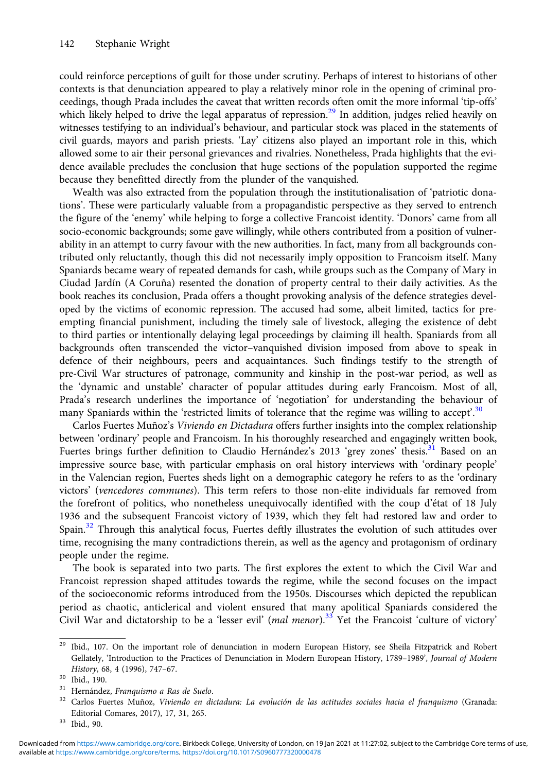could reinforce perceptions of guilt for those under scrutiny. Perhaps of interest to historians of other contexts is that denunciation appeared to play a relatively minor role in the opening of criminal proceedings, though Prada includes the caveat that written records often omit the more informal 'tip-offs' which likely helped to drive the legal apparatus of repression.<sup>29</sup> In addition, judges relied heavily on witnesses testifying to an individual's behaviour, and particular stock was placed in the statements of civil guards, mayors and parish priests. 'Lay' citizens also played an important role in this, which allowed some to air their personal grievances and rivalries. Nonetheless, Prada highlights that the evidence available precludes the conclusion that huge sections of the population supported the regime because they benefitted directly from the plunder of the vanquished.

Wealth was also extracted from the population through the institutionalisation of 'patriotic donations'. These were particularly valuable from a propagandistic perspective as they served to entrench the figure of the 'enemy' while helping to forge a collective Francoist identity. 'Donors' came from all socio-economic backgrounds; some gave willingly, while others contributed from a position of vulnerability in an attempt to curry favour with the new authorities. In fact, many from all backgrounds contributed only reluctantly, though this did not necessarily imply opposition to Francoism itself. Many Spaniards became weary of repeated demands for cash, while groups such as the Company of Mary in Ciudad Jardín (A Coruña) resented the donation of property central to their daily activities. As the book reaches its conclusion, Prada offers a thought provoking analysis of the defence strategies developed by the victims of economic repression. The accused had some, albeit limited, tactics for preempting financial punishment, including the timely sale of livestock, alleging the existence of debt to third parties or intentionally delaying legal proceedings by claiming ill health. Spaniards from all backgrounds often transcended the victor–vanquished division imposed from above to speak in defence of their neighbours, peers and acquaintances. Such findings testify to the strength of pre-Civil War structures of patronage, community and kinship in the post-war period, as well as the 'dynamic and unstable' character of popular attitudes during early Francoism. Most of all, Prada's research underlines the importance of 'negotiation' for understanding the behaviour of many Spaniards within the 'restricted limits of tolerance that the regime was willing to accept'.<sup>30</sup>

Carlos Fuertes Muñoz's Viviendo en Dictadura offers further insights into the complex relationship between 'ordinary' people and Francoism. In his thoroughly researched and engagingly written book, Fuertes brings further definition to Claudio Hernández's 2013 'grey zones' thesis.<sup>31</sup> Based on an impressive source base, with particular emphasis on oral history interviews with 'ordinary people' in the Valencian region, Fuertes sheds light on a demographic category he refers to as the 'ordinary victors' (vencedores communes). This term refers to those non-elite individuals far removed from the forefront of politics, who nonetheless unequivocally identified with the coup d'état of 18 July 1936 and the subsequent Francoist victory of 1939, which they felt had restored law and order to Spain.<sup>32</sup> Through this analytical focus, Fuertes deftly illustrates the evolution of such attitudes over time, recognising the many contradictions therein, as well as the agency and protagonism of ordinary people under the regime.

The book is separated into two parts. The first explores the extent to which the Civil War and Francoist repression shaped attitudes towards the regime, while the second focuses on the impact of the socioeconomic reforms introduced from the 1950s. Discourses which depicted the republican period as chaotic, anticlerical and violent ensured that many apolitical Spaniards considered the Civil War and dictatorship to be a 'lesser evil' (mal menor).<sup>33</sup> Yet the Francoist 'culture of victory'

 $29$  Ibid., 107. On the important role of denunciation in modern European History, see Sheila Fitzpatrick and Robert Gellately, 'Introduction to the Practices of Denunciation in Modern European History, 1789–1989', Journal of Modern History, 68, 4 (1996), 747–67.<br><sup>30</sup> Ibid., 190.<br><sup>31</sup> Hernández, Franquismo a Ras de Suelo.<br><sup>32</sup> Carlos Fuertes Muñoz, *Viviendo en dictadura: La evolución de las actitudes sociales hacia el franquismo* (Granada:

Editorial Comares, 2017), 17, 31, 265. <sup>33</sup> Ibid., 90.

available at <https://www.cambridge.org/core/terms>.<https://doi.org/10.1017/S0960777320000478> Downloaded from [https://www.cambridge.org/core.](https://www.cambridge.org/core) Birkbeck College, University of London, on 19 Jan 2021 at 11:27:02, subject to the Cambridge Core terms of use,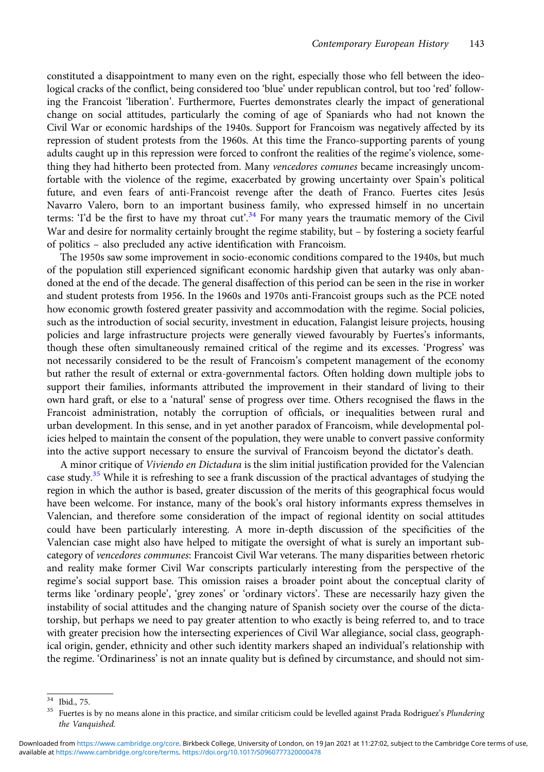constituted a disappointment to many even on the right, especially those who fell between the ideological cracks of the conflict, being considered too 'blue' under republican control, but too 'red' following the Francoist 'liberation'. Furthermore, Fuertes demonstrates clearly the impact of generational change on social attitudes, particularly the coming of age of Spaniards who had not known the Civil War or economic hardships of the 1940s. Support for Francoism was negatively affected by its repression of student protests from the 1960s. At this time the Franco-supporting parents of young adults caught up in this repression were forced to confront the realities of the regime's violence, something they had hitherto been protected from. Many vencedores comunes became increasingly uncomfortable with the violence of the regime, exacerbated by growing uncertainty over Spain's political future, and even fears of anti-Francoist revenge after the death of Franco. Fuertes cites Jesús Navarro Valero, born to an important business family, who expressed himself in no uncertain terms: 'I'd be the first to have my throat cut'.<sup>34</sup> For many years the traumatic memory of the Civil War and desire for normality certainly brought the regime stability, but – by fostering a society fearful of politics – also precluded any active identification with Francoism.

The 1950s saw some improvement in socio-economic conditions compared to the 1940s, but much of the population still experienced significant economic hardship given that autarky was only abandoned at the end of the decade. The general disaffection of this period can be seen in the rise in worker and student protests from 1956. In the 1960s and 1970s anti-Francoist groups such as the PCE noted how economic growth fostered greater passivity and accommodation with the regime. Social policies, such as the introduction of social security, investment in education, Falangist leisure projects, housing policies and large infrastructure projects were generally viewed favourably by Fuertes's informants, though these often simultaneously remained critical of the regime and its excesses. 'Progress' was not necessarily considered to be the result of Francoism's competent management of the economy but rather the result of external or extra-governmental factors. Often holding down multiple jobs to support their families, informants attributed the improvement in their standard of living to their own hard graft, or else to a 'natural' sense of progress over time. Others recognised the flaws in the Francoist administration, notably the corruption of officials, or inequalities between rural and urban development. In this sense, and in yet another paradox of Francoism, while developmental policies helped to maintain the consent of the population, they were unable to convert passive conformity into the active support necessary to ensure the survival of Francoism beyond the dictator's death.

A minor critique of Viviendo en Dictadura is the slim initial justification provided for the Valencian case study.<sup>35</sup> While it is refreshing to see a frank discussion of the practical advantages of studying the region in which the author is based, greater discussion of the merits of this geographical focus would have been welcome. For instance, many of the book's oral history informants express themselves in Valencian, and therefore some consideration of the impact of regional identity on social attitudes could have been particularly interesting. A more in-depth discussion of the specificities of the Valencian case might also have helped to mitigate the oversight of what is surely an important subcategory of vencedores communes: Francoist Civil War veterans. The many disparities between rhetoric and reality make former Civil War conscripts particularly interesting from the perspective of the regime's social support base. This omission raises a broader point about the conceptual clarity of terms like 'ordinary people', 'grey zones' or 'ordinary victors'. These are necessarily hazy given the instability of social attitudes and the changing nature of Spanish society over the course of the dictatorship, but perhaps we need to pay greater attention to who exactly is being referred to, and to trace with greater precision how the intersecting experiences of Civil War allegiance, social class, geographical origin, gender, ethnicity and other such identity markers shaped an individual's relationship with the regime. 'Ordinariness' is not an innate quality but is defined by circumstance, and should not sim-

 $\frac{34}{34}$  Ibid., 75.<br><sup>35</sup> Fuertes is by no means alone in this practice, and similar criticism could be levelled against Prada Rodriguez's Plundering the Vanquished.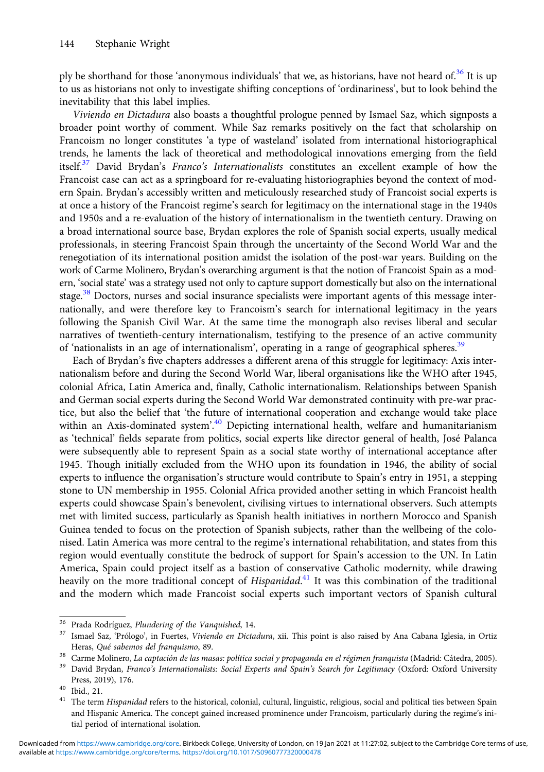ply be shorthand for those 'anonymous individuals' that we, as historians, have not heard of.<sup>36</sup> It is up to us as historians not only to investigate shifting conceptions of 'ordinariness', but to look behind the inevitability that this label implies.

Viviendo en Dictadura also boasts a thoughtful prologue penned by Ismael Saz, which signposts a broader point worthy of comment. While Saz remarks positively on the fact that scholarship on Francoism no longer constitutes 'a type of wasteland' isolated from international historiographical trends, he laments the lack of theoretical and methodological innovations emerging from the field itself.<sup>37</sup> David Brydan's Franco's Internationalists constitutes an excellent example of how the Francoist case can act as a springboard for re-evaluating historiographies beyond the context of modern Spain. Brydan's accessibly written and meticulously researched study of Francoist social experts is at once a history of the Francoist regime's search for legitimacy on the international stage in the 1940s and 1950s and a re-evaluation of the history of internationalism in the twentieth century. Drawing on a broad international source base, Brydan explores the role of Spanish social experts, usually medical professionals, in steering Francoist Spain through the uncertainty of the Second World War and the renegotiation of its international position amidst the isolation of the post-war years. Building on the work of Carme Molinero, Brydan's overarching argument is that the notion of Francoist Spain as a modern, 'social state' was a strategy used not only to capture support domestically but also on the international stage.<sup>38</sup> Doctors, nurses and social insurance specialists were important agents of this message internationally, and were therefore key to Francoism's search for international legitimacy in the years following the Spanish Civil War. At the same time the monograph also revises liberal and secular narratives of twentieth-century internationalism, testifying to the presence of an active community of 'nationalists in an age of internationalism', operating in a range of geographical spheres.<sup>39</sup>

Each of Brydan's five chapters addresses a different arena of this struggle for legitimacy: Axis internationalism before and during the Second World War, liberal organisations like the WHO after 1945, colonial Africa, Latin America and, finally, Catholic internationalism. Relationships between Spanish and German social experts during the Second World War demonstrated continuity with pre-war practice, but also the belief that 'the future of international cooperation and exchange would take place within an Axis-dominated system'.<sup>40</sup> Depicting international health, welfare and humanitarianism as 'technical' fields separate from politics, social experts like director general of health, José Palanca were subsequently able to represent Spain as a social state worthy of international acceptance after 1945. Though initially excluded from the WHO upon its foundation in 1946, the ability of social experts to influence the organisation's structure would contribute to Spain's entry in 1951, a stepping stone to UN membership in 1955. Colonial Africa provided another setting in which Francoist health experts could showcase Spain's benevolent, civilising virtues to international observers. Such attempts met with limited success, particularly as Spanish health initiatives in northern Morocco and Spanish Guinea tended to focus on the protection of Spanish subjects, rather than the wellbeing of the colonised. Latin America was more central to the regime's international rehabilitation, and states from this region would eventually constitute the bedrock of support for Spain's accession to the UN. In Latin America, Spain could project itself as a bastion of conservative Catholic modernity, while drawing heavily on the more traditional concept of Hispanidad.<sup>41</sup> It was this combination of the traditional and the modern which made Francoist social experts such important vectors of Spanish cultural

<sup>&</sup>lt;sup>36</sup> Prada Rodríguez, *Plundering of the Vanquished*, 14.<br><sup>37</sup> Ismael Saz, 'Prólogo', in Fuertes, *Viviendo en Dictadura*, xii. This point is also raised by Ana Cabana Iglesia, in Ortiz Heras, Qué sabemos del franquismo, 89.<br><sup>38</sup> Carme Molinero, *La captación de las masas: política social y propaganda en el régimen franquista (Madrid: Cátedra, 2005).*<br><sup>39</sup> David Brydan, *Franco's Internationalists: Social* 

Press, 2019), 176.<br><sup>40</sup> Ibid., 21.<br><sup>41</sup> The term *Hispanidad* refers to the historical, colonial, cultural, linguistic, religious, social and political ties between Spain

and Hispanic America. The concept gained increased prominence under Francoism, particularly during the regime's initial period of international isolation.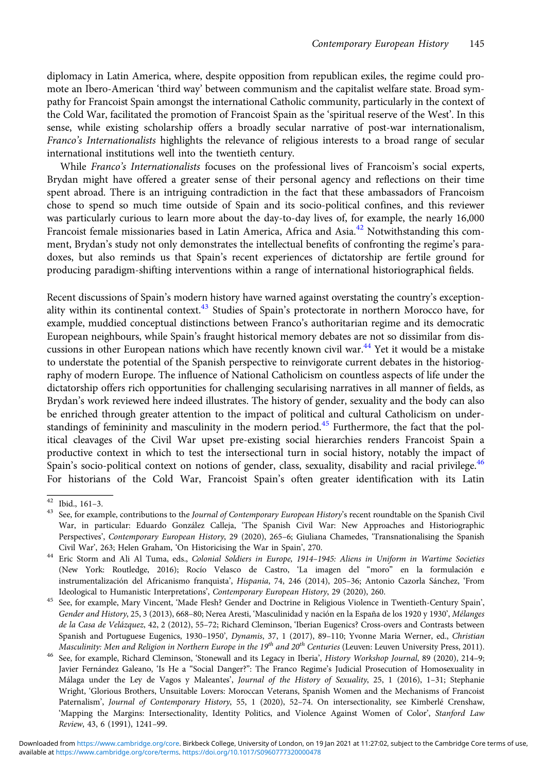diplomacy in Latin America, where, despite opposition from republican exiles, the regime could promote an Ibero-American 'third way' between communism and the capitalist welfare state. Broad sympathy for Francoist Spain amongst the international Catholic community, particularly in the context of the Cold War, facilitated the promotion of Francoist Spain as the 'spiritual reserve of the West'. In this sense, while existing scholarship offers a broadly secular narrative of post-war internationalism, Franco's Internationalists highlights the relevance of religious interests to a broad range of secular international institutions well into the twentieth century.

While Franco's Internationalists focuses on the professional lives of Francoism's social experts, Brydan might have offered a greater sense of their personal agency and reflections on their time spent abroad. There is an intriguing contradiction in the fact that these ambassadors of Francoism chose to spend so much time outside of Spain and its socio-political confines, and this reviewer was particularly curious to learn more about the day-to-day lives of, for example, the nearly 16,000 Francoist female missionaries based in Latin America, Africa and Asia.<sup>42</sup> Notwithstanding this comment, Brydan's study not only demonstrates the intellectual benefits of confronting the regime's paradoxes, but also reminds us that Spain's recent experiences of dictatorship are fertile ground for producing paradigm-shifting interventions within a range of international historiographical fields.

Recent discussions of Spain's modern history have warned against overstating the country's exceptionality within its continental context.<sup>43</sup> Studies of Spain's protectorate in northern Morocco have, for example, muddied conceptual distinctions between Franco's authoritarian regime and its democratic European neighbours, while Spain's fraught historical memory debates are not so dissimilar from discussions in other European nations which have recently known civil war.<sup>44</sup> Yet it would be a mistake to understate the potential of the Spanish perspective to reinvigorate current debates in the historiography of modern Europe. The influence of National Catholicism on countless aspects of life under the dictatorship offers rich opportunities for challenging secularising narratives in all manner of fields, as Brydan's work reviewed here indeed illustrates. The history of gender, sexuality and the body can also be enriched through greater attention to the impact of political and cultural Catholicism on understandings of femininity and masculinity in the modern period.<sup>45</sup> Furthermore, the fact that the political cleavages of the Civil War upset pre-existing social hierarchies renders Francoist Spain a productive context in which to test the intersectional turn in social history, notably the impact of Spain's socio-political context on notions of gender, class, sexuality, disability and racial privilege.<sup>46</sup> For historians of the Cold War, Francoist Spain's often greater identification with its Latin

<sup>&</sup>lt;sup>42</sup> Ibid., 161–3.<br><sup>43</sup> See, for example, contributions to the *Journal of Contemporary European History's* recent roundtable on the Spanish Civil War, in particular: Eduardo González Calleja, 'The Spanish Civil War: New Approaches and Historiographic Perspectives', Contemporary European History, 29 (2020), 265–6; Giuliana Chamedes, 'Transnationalising the Spanish

Civil War', 263; Helen Graham, 'On Historicising the War in Spain', 270. <sup>44</sup> Eric Storm and Ali Al Tuma, eds., Colonial Soldiers in Europe, 1914–1945: Aliens in Uniform in Wartime Societies (New York: Routledge, 2016); Rocío Velasco de Castro, 'La imagen del "moro" en la formulación e instrumentalización del Africanismo franquista', Hispania, 74, 246 (2014), 205–36; Antonio Cazorla Sánchez, 'From

Ideological to Humanistic Interpretations', Contemporary European History, 29 (2020), 260. <sup>45</sup> See, for example, Mary Vincent, 'Made Flesh? Gender and Doctrine in Religious Violence in Twentieth-Century Spain', Gender and History, 25, 3 (2013), 668–80; Nerea Aresti, 'Masculinidad y nación en la España de los 1920 y 1930', Mélanges de la Casa de Velázquez, 42, 2 (2012), 55-72; Richard Cleminson, 'Iberian Eugenics? Cross-overs and Contrasts between Spanish and Portuguese Eugenics, 1930–1950', Dynamis, 37, 1 (2017), 89–110; Yvonne Maria Werner, ed., Christian Masculinity: Men and Religion in Northern Europe in the 19<sup>th</sup> and 20<sup>th</sup> Centuries (Leuven: Leuven Universit

<sup>&</sup>lt;sup>46</sup> See, for example, Richard Cleminson, 'Stonewall and its Legacy in Iberia', History Workshop Journal, 89 (2020), 214-9; Javier Fernández Galeano, 'Is He a "Social Danger?": The Franco Regime's Judicial Prosecution of Homosexuality in Málaga under the Ley de Vagos y Maleantes', Journal of the History of Sexuality, 25, 1 (2016), 1–31; Stephanie Wright, 'Glorious Brothers, Unsuitable Lovers: Moroccan Veterans, Spanish Women and the Mechanisms of Francoist Paternalism', Journal of Contemporary History, 55, 1 (2020), 52–74. On intersectionality, see Kimberlé Crenshaw, 'Mapping the Margins: Intersectionality, Identity Politics, and Violence Against Women of Color', Stanford Law Review, 43, 6 (1991), 1241–99.